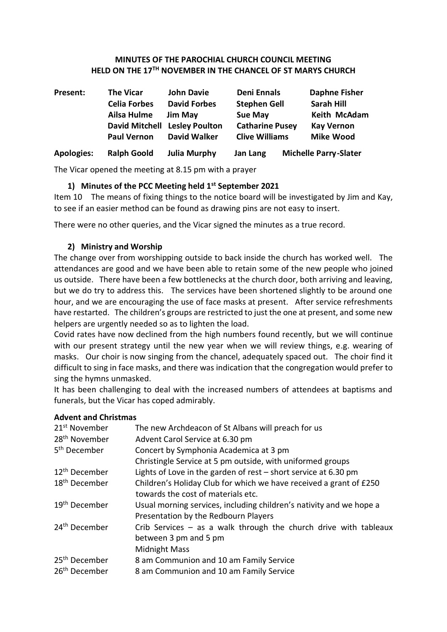#### **MINUTES OF THE PAROCHIAL CHURCH COUNCIL MEETING HELD ON THE 17TH NOVEMBER IN THE CHANCEL OF ST MARYS CHURCH**

| Present:          | <b>The Vicar</b>    | <b>John Davie</b>             | <b>Deni Ennals</b>     | <b>Daphne Fisher</b>         |
|-------------------|---------------------|-------------------------------|------------------------|------------------------------|
|                   | <b>Celia Forbes</b> | <b>David Forbes</b>           | <b>Stephen Gell</b>    | <b>Sarah Hill</b>            |
|                   | Ailsa Hulme         | <b>Jim May</b>                | <b>Sue May</b>         | Keith McAdam                 |
|                   |                     | David Mitchell Lesley Poulton | <b>Catharine Pusey</b> | <b>Kay Vernon</b>            |
|                   | <b>Paul Vernon</b>  | David Walker                  | <b>Clive Williams</b>  | <b>Mike Wood</b>             |
| <b>Apologies:</b> | <b>Ralph Goold</b>  | <b>Julia Murphy</b>           | Jan Lang               | <b>Michelle Parry-Slater</b> |

The Vicar opened the meeting at 8.15 pm with a prayer

## **1) Minutes of the PCC Meeting held 1st September 2021**

Item 10 The means of fixing things to the notice board will be investigated by Jim and Kay, to see if an easier method can be found as drawing pins are not easy to insert.

There were no other queries, and the Vicar signed the minutes as a true record.

## **2) Ministry and Worship**

The change over from worshipping outside to back inside the church has worked well. The attendances are good and we have been able to retain some of the new people who joined us outside. There have been a few bottlenecks at the church door, both arriving and leaving, but we do try to address this. The services have been shortened slightly to be around one hour, and we are encouraging the use of face masks at present. After service refreshments have restarted. The children's groups are restricted to just the one at present, and some new helpers are urgently needed so as to lighten the load.

Covid rates have now declined from the high numbers found recently, but we will continue with our present strategy until the new year when we will review things, e.g. wearing of masks. Our choir is now singing from the chancel, adequately spaced out. The choir find it difficult to sing in face masks, and there was indication that the congregation would prefer to sing the hymns unmasked.

It has been challenging to deal with the increased numbers of attendees at baptisms and funerals, but the Vicar has coped admirably.

# **Advent and Christmas**

| 21 <sup>st</sup> November | The new Archdeacon of St Albans will preach for us                  |
|---------------------------|---------------------------------------------------------------------|
| 28 <sup>th</sup> November | Advent Carol Service at 6.30 pm                                     |
| 5 <sup>th</sup> December  | Concert by Symphonia Academica at 3 pm                              |
|                           | Christingle Service at 5 pm outside, with uniformed groups          |
| 12 <sup>th</sup> December | Lights of Love in the garden of rest $-$ short service at 6.30 pm   |
| 18 <sup>th</sup> December | Children's Holiday Club for which we have received a grant of £250  |
|                           | towards the cost of materials etc.                                  |
| 19 <sup>th</sup> December | Usual morning services, including children's nativity and we hope a |
|                           | Presentation by the Redbourn Players                                |
| 24 <sup>th</sup> December | Crib Services $-$ as a walk through the church drive with tableaux  |
|                           | between 3 pm and 5 pm                                               |
|                           | <b>Midnight Mass</b>                                                |
| 25 <sup>th</sup> December | 8 am Communion and 10 am Family Service                             |
| 26 <sup>th</sup> December | 8 am Communion and 10 am Family Service                             |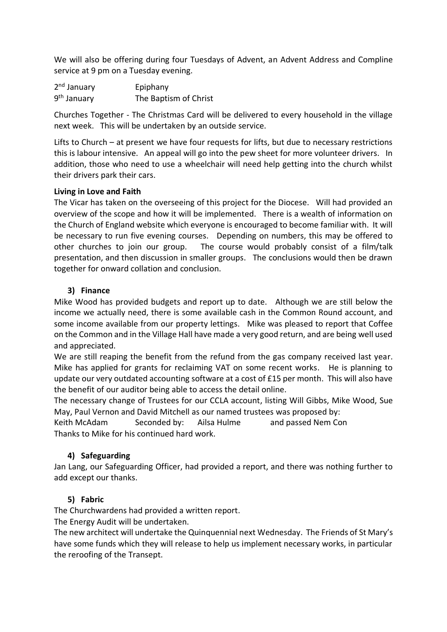We will also be offering during four Tuesdays of Advent, an Advent Address and Compline service at 9 pm on a Tuesday evening.

| 2 <sup>nd</sup> January | Epiphany              |
|-------------------------|-----------------------|
| 9 <sup>th</sup> January | The Baptism of Christ |

Churches Together - The Christmas Card will be delivered to every household in the village next week. This will be undertaken by an outside service.

Lifts to Church – at present we have four requests for lifts, but due to necessary restrictions this is labour intensive. An appeal will go into the pew sheet for more volunteer drivers. In addition, those who need to use a wheelchair will need help getting into the church whilst their drivers park their cars.

#### **Living in Love and Faith**

The Vicar has taken on the overseeing of this project for the Diocese. Will had provided an overview of the scope and how it will be implemented. There is a wealth of information on the Church of England website which everyone is encouraged to become familiar with. It will be necessary to run five evening courses. Depending on numbers, this may be offered to other churches to join our group. The course would probably consist of a film/talk presentation, and then discussion in smaller groups. The conclusions would then be drawn together for onward collation and conclusion.

#### **3) Finance**

Mike Wood has provided budgets and report up to date. Although we are still below the income we actually need, there is some available cash in the Common Round account, and some income available from our property lettings. Mike was pleased to report that Coffee on the Common and in the Village Hall have made a very good return, and are being well used and appreciated.

We are still reaping the benefit from the refund from the gas company received last year. Mike has applied for grants for reclaiming VAT on some recent works. He is planning to update our very outdated accounting software at a cost of £15 per month. This will also have the benefit of our auditor being able to access the detail online.

The necessary change of Trustees for our CCLA account, listing Will Gibbs, Mike Wood, Sue May, Paul Vernon and David Mitchell as our named trustees was proposed by:

Keith McAdam Seconded by: Ailsa Hulme and passed Nem Con Thanks to Mike for his continued hard work.

## **4) Safeguarding**

Jan Lang, our Safeguarding Officer, had provided a report, and there was nothing further to add except our thanks.

## **5) Fabric**

The Churchwardens had provided a written report.

The Energy Audit will be undertaken.

The new architect will undertake the Quinquennial next Wednesday. The Friends of St Mary's have some funds which they will release to help us implement necessary works, in particular the reroofing of the Transept.